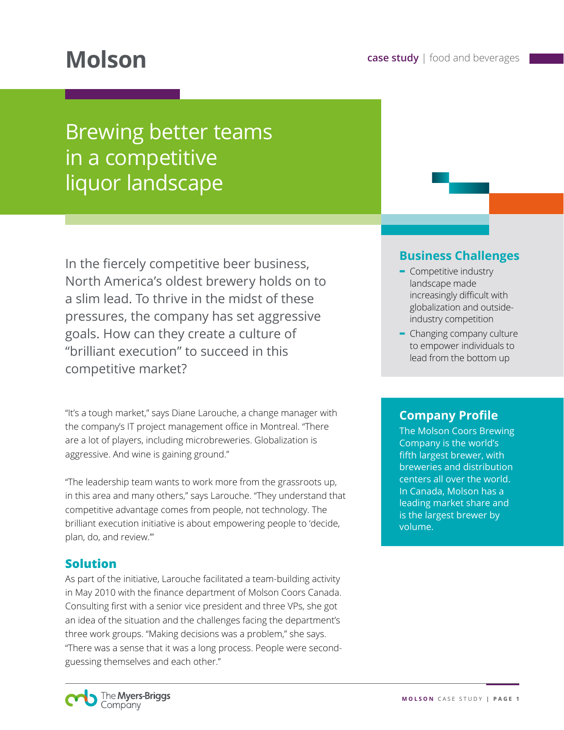# Brewing better teams in a competitive liquor landscape

In the fiercely competitive beer business, North America's oldest brewery holds on to a slim lead. To thrive in the midst of these pressures, the company has set aggressive goals. How can they create a culture of "brilliant execution" to succeed in this competitive market?

"It's a tough market," says Diane Larouche, a change manager with the company's IT project management office in Montreal. "There are a lot of players, including microbreweries. Globalization is aggressive. And wine is gaining ground."

"The leadership team wants to work more from the grassroots up, in this area and many others," says Larouche. "They understand that competitive advantage comes from people, not technology. The brilliant execution initiative is about empowering people to 'decide, plan, do, and review.'"

#### **Solution**

As part of the initiative, Larouche facilitated a team-building activity in May 2010 with the finance department of Molson Coors Canada. Consulting first with a senior vice president and three VPs, she got an idea of the situation and the challenges facing the department's three work groups. "Making decisions was a problem," she says. "There was a sense that it was a long process. People were secondguessing themselves and each other."

### **Business Challenges**

- **-** Competitive industry landscape made increasingly difficult with globalization and outsideindustry competition
- **-** Changing company culture to empower individuals to lead from the bottom up

#### **Company Profile**

The Molson Coors Brewing Company is the world's fifth largest brewer, with breweries and distribution centers all over the world. In Canada, Molson has a leading market share and is the largest brewer by volume.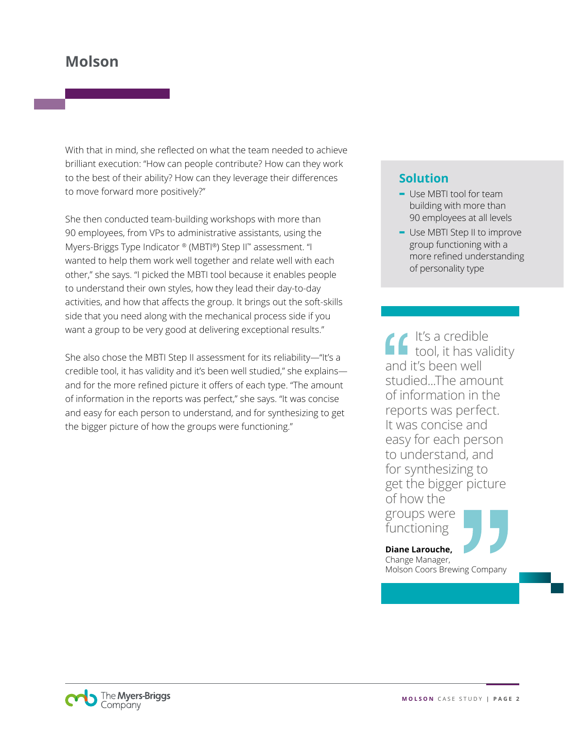## **Molson**

With that in mind, she reflected on what the team needed to achieve brilliant execution: "How can people contribute? How can they work to the best of their ability? How can they leverage their differences to move forward more positively?"

She then conducted team-building workshops with more than 90 employees, from VPs to administrative assistants, using the Myers-Briggs Type Indicator ® (MBTI®) Step II™ assessment. "I wanted to help them work well together and relate well with each other," she says. "I picked the MBTI tool because it enables people to understand their own styles, how they lead their day-to-day activities, and how that affects the group. It brings out the soft-skills side that you need along with the mechanical process side if you want a group to be very good at delivering exceptional results."

She also chose the MBTI Step II assessment for its reliability—"It's a credible tool, it has validity and it's been well studied," she explains and for the more refined picture it offers of each type. "The amount of information in the reports was perfect," she says. "It was concise and easy for each person to understand, and for synthesizing to get the bigger picture of how the groups were functioning."

#### **Solution**

- **-** Use MBTI tool for team building with more than 90 employees at all levels
- **-** Use MBTI Step II to improve group functioning with a more refined understanding of personality type

It's a credible tool, it has validity and it's been well studied...The amount of information in the reports was perfect. It was concise and easy for each person to understand, and for synthesizing to get the bigger picture of how the groups were functioning

**Diane Larouche,**  Change Manager, Molson Coors Brewing Company

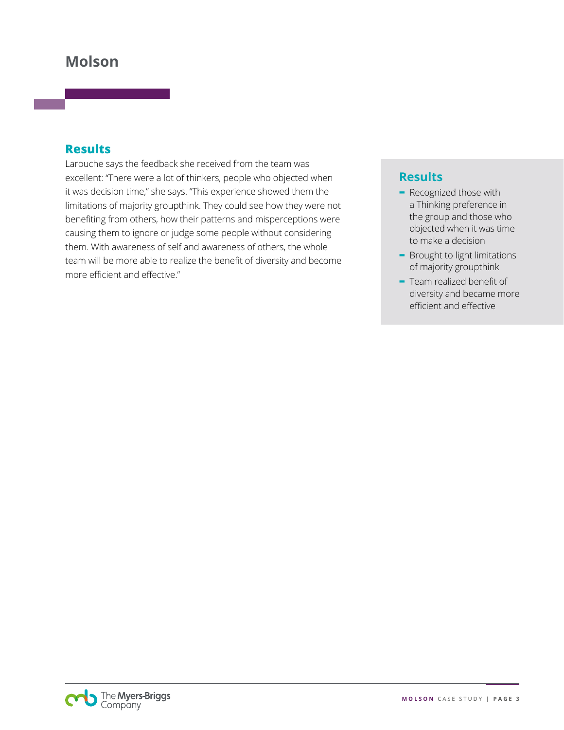# **Molson**

#### **Results**

Larouche says the feedback she received from the team was excellent: "There were a lot of thinkers, people who objected when it was decision time," she says. "This experience showed them the limitations of majority groupthink. They could see how they were not benefiting from others, how their patterns and misperceptions were causing them to ignore or judge some people without considering them. With awareness of self and awareness of others, the whole team will be more able to realize the benefit of diversity and become more efficient and effective."

#### **Results**

- **-** Recognized those with a Thinking preference in the group and those who objected when it was time to make a decision
- **-** Brought to light limitations of majority groupthink
- **-** Team realized benefit of diversity and became more efficient and effective